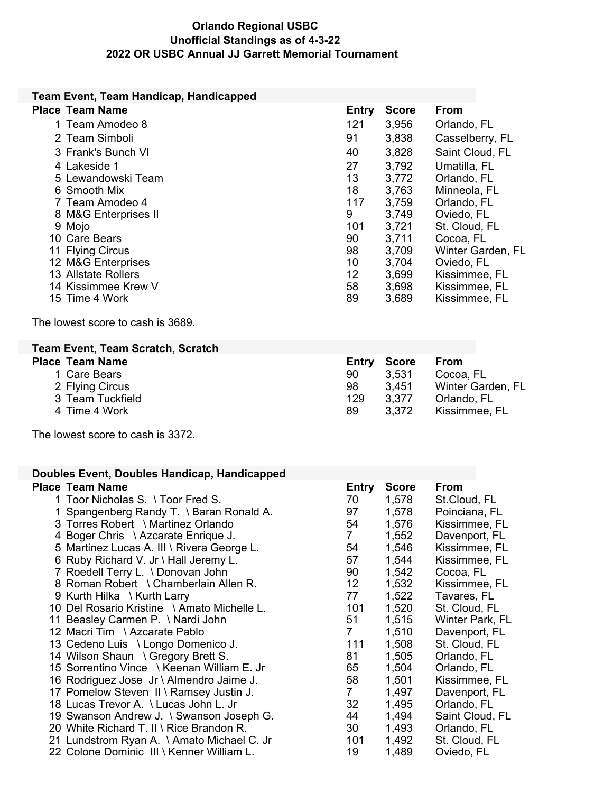## **Orlando Regional USBC Unofficial Standings as of 4-3-22 2022 OR USBC Annual JJ Garrett Memorial Tournament**

| Team Event, Team Handicap, Handicapped                                            |                    |                       |                                 |
|-----------------------------------------------------------------------------------|--------------------|-----------------------|---------------------------------|
| <b>Place Team Name</b>                                                            | Entry              | <b>Score</b>          | From                            |
| 1 Team Amodeo 8                                                                   | 121                | 3,956                 | Orlando, FL                     |
| 2 Team Simboli                                                                    | 91                 | 3,838                 | Casselberry, FL                 |
| 3 Frank's Bunch VI                                                                | 40                 | 3,828                 | Saint Cloud, FL                 |
| 4 Lakeside 1                                                                      | 27                 | 3,792                 | Umatilla, FL                    |
| 5 Lewandowski Team                                                                | 13                 | 3,772                 | Orlando, FL                     |
| 6 Smooth Mix                                                                      | 18                 | 3,763                 | Minneola, FL                    |
| 7 Team Amodeo 4                                                                   | 117                | 3,759                 | Orlando, FL                     |
| 8 M&G Enterprises II                                                              | 9                  | 3,749                 | Oviedo, FL                      |
| 9 Mojo                                                                            | 101                | 3,721                 | St. Cloud, FL                   |
| 10 Care Bears                                                                     | 90<br>98           | 3,711                 | Cocoa, FL                       |
| 11 Flying Circus<br>12 M&G Enterprises                                            | 10                 | 3,709<br>3,704        | Winter Garden, FL<br>Oviedo, FL |
| 13 Allstate Rollers                                                               | 12                 | 3,699                 | Kissimmee, FL                   |
| 14 Kissimmee Krew V                                                               | 58                 | 3,698                 | Kissimmee, FL                   |
| 15 Time 4 Work                                                                    | 89                 | 3,689                 | Kissimmee, FL                   |
| The lowest score to cash is 3689.                                                 |                    |                       |                                 |
|                                                                                   |                    |                       |                                 |
| <b>Team Event, Team Scratch, Scratch</b><br><b>Place Team Name</b>                |                    |                       | <b>From</b>                     |
| 1 Care Bears                                                                      | <b>Entry</b><br>90 | <b>Score</b><br>3,531 | Cocoa, FL                       |
| 2 Flying Circus                                                                   | 98                 | 3,451                 | Winter Garden, FL               |
| 3 Team Tuckfield                                                                  | 129                | 3,377                 | Orlando, FL                     |
| 4 Time 4 Work                                                                     | 89                 | 3,372                 | Kissimmee, FL                   |
| The lowest score to cash is 3372.                                                 |                    |                       |                                 |
| Doubles Event, Doubles Handicap, Handicapped                                      |                    |                       |                                 |
| <b>Place Team Name</b>                                                            | <b>Entry</b>       | <b>Score</b>          | From                            |
| 1 Toor Nicholas S. \ Toor Fred S.                                                 | 70                 | 1,578                 | St.Cloud, FL                    |
| 1 Spangenberg Randy T. \ Baran Ronald A.                                          | 97                 | 1,578                 | Poinciana, FL                   |
| 3 Torres Robert \ Martinez Orlando                                                | 54                 | 1,576                 | Kissimmee, FL                   |
| 4 Boger Chris \ Azcarate Enrique J.<br>5 Martinez Lucas A. III \ Rivera George L. | 7<br>54            | 1,552<br>1,546        | Davenport, FL<br>Kissimmee, FL  |
| 6 Ruby Richard V. Jr \ Hall Jeremy L.                                             | 57                 | 1,544                 | Kissimmee, FL                   |
| 7 Roedell Terry L. \ Donovan John                                                 | 90                 | 1,542                 | Cocoa, FL                       |
| 8 Roman Robert \ Chamberlain Allen R.                                             | 12                 | 1,532                 | Kissimmee, FL                   |
| 9 Kurth Hilka \ Kurth Larry                                                       | 77                 | 1,522                 | Tavares, FL                     |
| 10 Del Rosario Kristine \ Amato Michelle L.                                       | 101                | 1,520                 | St. Cloud, FL                   |
| 11 Beasley Carmen P. \ Nardi John                                                 | 51                 | 1,515                 | Winter Park, FL                 |
| 12 Macri Tim \ Azcarate Pablo                                                     | 7                  | 1,510                 | Davenport, FL                   |
| 13 Cedeno Luis \ Longo Domenico J.                                                | 111                | 1,508                 | St. Cloud, FL                   |
| 14 Wilson Shaun \ Gregory Brett S.<br>15 Sorrentino Vince \ Keenan William E. Jr  | 81<br>65           | 1,505<br>1,504        | Orlando, FL<br>Orlando, FL      |
| 16 Rodriguez Jose Jr \ Almendro Jaime J.                                          | 58                 | 1,501                 | Kissimmee, FL                   |
| 17 Pomelow Steven II \ Ramsey Justin J.                                           | $\mathbf{7}$       | 1,497                 | Davenport, FL                   |
| 18 Lucas Trevor A. \ Lucas John L. Jr                                             | 32                 | 1,495                 | Orlando, FL                     |
| 19 Swanson Andrew J. \ Swanson Joseph G.                                          | 44                 | 1,494                 | Saint Cloud, FL                 |
| 20 White Richard T. II \ Rice Brandon R.                                          | 30                 | 1,493                 | Orlando, FL                     |
| 21 Lundstrom Ryan A. \ Amato Michael C. Jr                                        | 101                | 1,492                 | St. Cloud, FL                   |
| 22 Colone Dominic III \ Kenner William L.                                         | 19                 | 1,489                 | Oviedo, FL                      |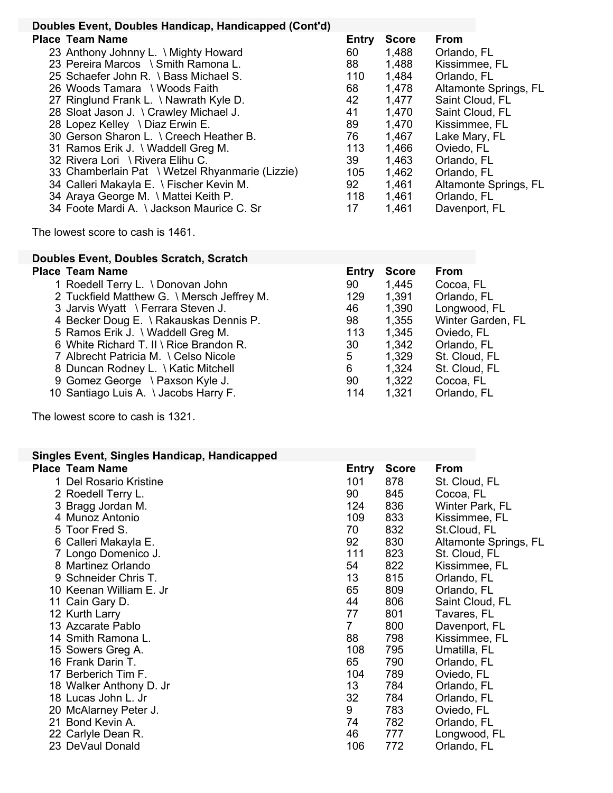| Doubles Event, Doubles Handicap, Handicapped (Cont'd)                                                                                                                                                                                                                                                                                                                                                                                                                                                                                                                                 |                                                                                      |                                                                                                                            |                                                                                                                                                                                                                                                   |
|---------------------------------------------------------------------------------------------------------------------------------------------------------------------------------------------------------------------------------------------------------------------------------------------------------------------------------------------------------------------------------------------------------------------------------------------------------------------------------------------------------------------------------------------------------------------------------------|--------------------------------------------------------------------------------------|----------------------------------------------------------------------------------------------------------------------------|---------------------------------------------------------------------------------------------------------------------------------------------------------------------------------------------------------------------------------------------------|
| <b>Place Team Name</b>                                                                                                                                                                                                                                                                                                                                                                                                                                                                                                                                                                | <b>Entry</b>                                                                         | <b>Score</b>                                                                                                               | From                                                                                                                                                                                                                                              |
| 23 Anthony Johnny L. \ Mighty Howard<br>23 Pereira Marcos \ Smith Ramona L.<br>25 Schaefer John R. \ Bass Michael S.<br>26 Woods Tamara \ Woods Faith<br>27 Ringlund Frank L. \ Nawrath Kyle D.<br>28 Sloat Jason J. \ Crawley Michael J.<br>28 Lopez Kelley \ Diaz Erwin E.<br>30 Gerson Sharon L. \ Creech Heather B.<br>31 Ramos Erik J. \ Waddell Greg M.<br>32 Rivera Lori \ Rivera Elihu C.<br>33 Chamberlain Pat \ Wetzel Rhyanmarie (Lizzie)<br>34 Calleri Makayla E. \ Fischer Kevin M.<br>34 Araya George M. \ Mattei Keith P.<br>34 Foote Mardi A. \ Jackson Maurice C. Sr | 60<br>88<br>110<br>68<br>42<br>41<br>89<br>76<br>113<br>39<br>105<br>92<br>118<br>17 | 1,488<br>1,488<br>1,484<br>1,478<br>1,477<br>1,470<br>1,470<br>1,467<br>1,466<br>1,463<br>1,462<br>1,461<br>1,461<br>1,461 | Orlando, FL<br>Kissimmee, FL<br>Orlando, FL<br>Altamonte Springs, FL<br>Saint Cloud, FL<br>Saint Cloud, FL<br>Kissimmee, FL<br>Lake Mary, FL<br>Oviedo, FL<br>Orlando, FL<br>Orlando, FL<br>Altamonte Springs, FL<br>Orlando, FL<br>Davenport, FL |
| The lowest score to cash is 1461.                                                                                                                                                                                                                                                                                                                                                                                                                                                                                                                                                     |                                                                                      |                                                                                                                            |                                                                                                                                                                                                                                                   |
| <b>Doubles Event, Doubles Scratch, Scratch</b>                                                                                                                                                                                                                                                                                                                                                                                                                                                                                                                                        |                                                                                      |                                                                                                                            |                                                                                                                                                                                                                                                   |
| <b>Place Team Name</b><br>1 Roedell Terry L. \ Donovan John<br>2 Tuckfield Matthew G. \ Mersch Jeffrey M.<br>3 Jarvis Wyatt \ Ferrara Steven J.<br>4 Becker Doug E. \ Rakauskas Dennis P.<br>5 Ramos Erik J. \ Waddell Greg M.<br>6 White Richard T. II \ Rice Brandon R.                                                                                                                                                                                                                                                                                                             | Entry<br>90<br>129<br>46<br>98<br>113<br>30                                          | <b>Score</b><br>1,445<br>1,391<br>1,390<br>1,355<br>1,345<br>1,342                                                         | From<br>Cocoa, FL<br>Orlando, FL<br>Longwood, FL<br>Winter Garden, FL<br>Oviedo, FL<br>Orlando, FL                                                                                                                                                |

- 
- 6 White Richard T. II \ Rice Brandon R. <br>
7 Albrecht Patricia M. \ Celso Nicole 5 1,329 St. Cloud, FL
- 7 Albrecht Patricia M. \ Celso Nicole 5 1,329 St. Cloud, FL 8 Duncan Rodney L. \ Katic Mitchell 6 1,324 St. Cloud, FL
- 8 Duncan Rodney L. \ Katic Mitchell  $6$  1,324 St. Cloud, FL
- Gomez George \ Paxson Kyle J. 90 1,322 Cocoa, FL
- 10 Santiago Luis A. \ Jacobs Harry F. 114 1,321 Orlando, FL

The lowest score to cash is 1321.

| Singles Event, Singles Handicap, Handicapped |       |              |                       |
|----------------------------------------------|-------|--------------|-----------------------|
| Place Team Name                              | Entry | <b>Score</b> | From                  |
| 1 Del Rosario Kristine                       | 101   | 878          | St. Cloud, FL         |
| 2 Roedell Terry L.                           | 90    | 845          | Cocoa, FL             |
| 3 Bragg Jordan M.                            | 124   | 836          | Winter Park, FL       |
| 4 Munoz Antonio                              | 109   | 833          | Kissimmee, FL         |
| 5 Toor Fred S.                               | 70    | 832          | St.Cloud, FL          |
| 6 Calleri Makayla E.                         | 92    | 830          | Altamonte Springs, FL |
| 7 Longo Domenico J.                          | 111   | 823          | St. Cloud, FL         |
| 8 Martinez Orlando                           | 54    | 822          | Kissimmee, FL         |
| 9 Schneider Chris T.                         | 13    | 815          | Orlando, FL           |
| 10 Keenan William E. Jr                      | 65    | 809          | Orlando, FL           |
| 11 Cain Gary D.                              | 44    | 806          | Saint Cloud, FL       |
| 12 Kurth Larry                               | 77    | 801          | Tavares, FL           |
| 13 Azcarate Pablo                            | 7     | 800          | Davenport, FL         |
| 14 Smith Ramona L.                           | 88    | 798          | Kissimmee, FL         |
| 15 Sowers Greg A.                            | 108   | 795          | Umatilla, FL          |
| 16 Frank Darin T.                            | 65    | 790          | Orlando, FL           |
| 17 Berberich Tim F.                          | 104   | 789          | Oviedo, FL            |
| 18 Walker Anthony D. Jr                      | 13    | 784          | Orlando, FL           |
| 18 Lucas John L. Jr                          | 32    | 784          | Orlando, FL           |
| 20 McAlarney Peter J.                        | 9     | 783          | Oviedo, FL            |
| 21 Bond Kevin A.                             | 74    | 782          | Orlando, FL           |
| 22 Carlyle Dean R.                           | 46    | 777          | Longwood, FL          |
| 23 DeVaul Donald                             | 106   | 772          | Orlando, FL           |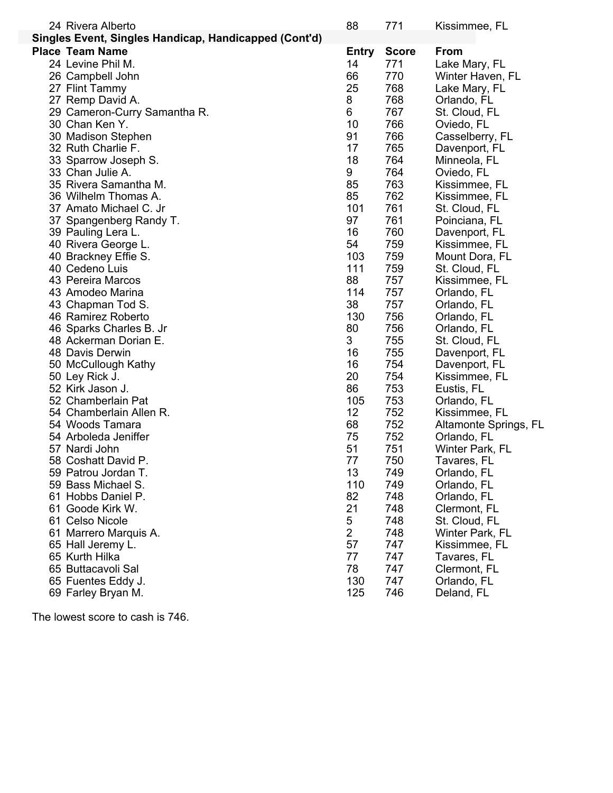| 24 Rivera Alberto                                     | 88             | 771          | Kissimmee, FL         |
|-------------------------------------------------------|----------------|--------------|-----------------------|
| Singles Event, Singles Handicap, Handicapped (Cont'd) |                |              |                       |
| <b>Place Team Name</b>                                | <b>Entry</b>   | <b>Score</b> | From                  |
| 24 Levine Phil M.                                     | 14             | 771          | Lake Mary, FL         |
| 26 Campbell John                                      | 66             | 770          | Winter Haven, FL      |
| 27 Flint Tammy                                        | 25             | 768          | Lake Mary, FL         |
| 27 Remp David A.                                      | 8              | 768          | Orlando, FL           |
| 29 Cameron-Curry Samantha R.                          | 6              | 767          | St. Cloud, FL         |
| 30 Chan Ken Y.                                        | 10             | 766          | Oviedo, FL            |
| 30 Madison Stephen                                    | 91             | 766          | Casselberry, FL       |
| 32 Ruth Charlie F.                                    | 17             | 765          | Davenport, FL         |
|                                                       | 18             | 764          |                       |
| 33 Sparrow Joseph S.                                  |                |              | Minneola, FL          |
| 33 Chan Julie A.                                      | 9              | 764          | Oviedo, FL            |
| 35 Rivera Samantha M.                                 | 85             | 763          | Kissimmee, FL         |
| 36 Wilhelm Thomas A.                                  | 85             | 762          | Kissimmee, FL         |
| 37 Amato Michael C. Jr                                | 101            | 761          | St. Cloud, FL         |
| 37 Spangenberg Randy T.                               | 97             | 761          | Poinciana, FL         |
| 39 Pauling Lera L.                                    | 16             | 760          | Davenport, FL         |
| 40 Rivera George L.                                   | 54             | 759          | Kissimmee, FL         |
| 40 Brackney Effie S.                                  | 103            | 759          | Mount Dora, FL        |
| 40 Cedeno Luis                                        | 111            | 759          | St. Cloud, FL         |
| 43 Pereira Marcos                                     | 88             | 757          | Kissimmee, FL         |
| 43 Amodeo Marina                                      | 114            | 757          | Orlando, FL           |
| 43 Chapman Tod S.                                     | 38             | 757          | Orlando, FL           |
| 46 Ramirez Roberto                                    | 130            | 756          | Orlando, FL           |
| 46 Sparks Charles B. Jr                               | 80             | 756          | Orlando, FL           |
| 48 Ackerman Dorian E.                                 | 3              | 755          | St. Cloud, FL         |
| 48 Davis Derwin                                       | 16             | 755          | Davenport, FL         |
| 50 McCullough Kathy                                   | 16             | 754          | Davenport, FL         |
| 50 Ley Rick J.                                        | 20             | 754          | Kissimmee, FL         |
| 52 Kirk Jason J.                                      | 86             | 753          | Eustis, FL            |
| 52 Chamberlain Pat                                    | 105            | 753          | Orlando, FL           |
| 54 Chamberlain Allen R.                               | 12             | 752          | Kissimmee, FL         |
| 54 Woods Tamara                                       | 68             | 752          | Altamonte Springs, FL |
| 54 Arboleda Jeniffer                                  | 75             | 752          | Orlando, FL           |
| 57 Nardi John                                         | 51             | 751          | Winter Park, FL       |
| 58 Coshatt David P.                                   | 77             | 750          | Tavares, FL           |
| 59 Patrou Jordan T.                                   | 13             | 749          | Orlando, FL           |
| 59 Bass Michael S.                                    | 110            | 749          | Orlando, FL           |
| 61 Hobbs Daniel P.                                    | 82             | 748          | Orlando, FL           |
| 61 Goode Kirk W.                                      | 21             | 748          | Clermont, FL          |
| 61 Celso Nicole                                       | 5              | 748          | St. Cloud, FL         |
| 61 Marrero Marquis A.                                 | $\overline{2}$ | 748          | Winter Park, FL       |
| 65 Hall Jeremy L.                                     | 57             | 747          | Kissimmee, FL         |
| 65 Kurth Hilka                                        | 77             | 747          | Tavares, FL           |
| 65 Buttacavoli Sal                                    | 78             | 747          | Clermont, FL          |
| 65 Fuentes Eddy J.                                    | 130            | 747          | Orlando, FL           |
| 69 Farley Bryan M.                                    | 125            | 746          | Deland, FL            |
|                                                       |                |              |                       |

The lowest score to cash is 746.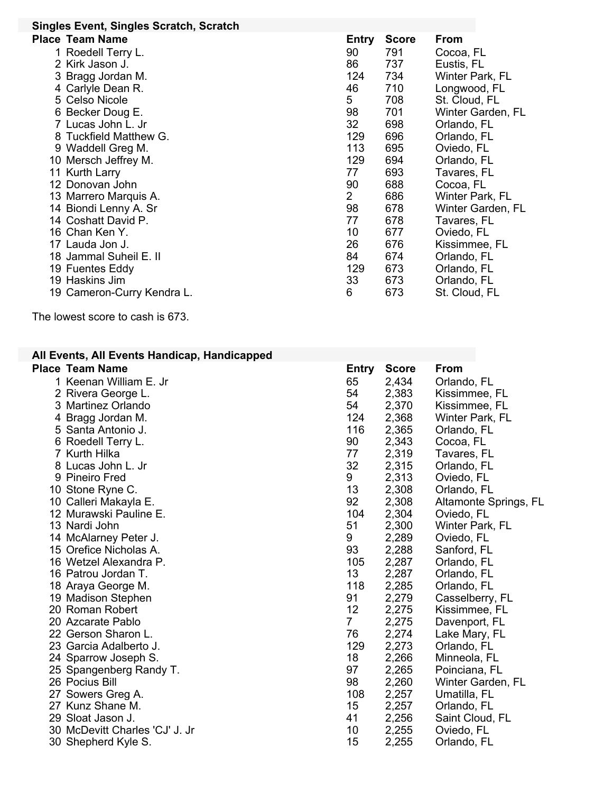| Singles Event, Singles Scratch, Scratch |                |              |                   |
|-----------------------------------------|----------------|--------------|-------------------|
| <b>Place Team Name</b>                  | Entry          | <b>Score</b> | <b>From</b>       |
| 1 Roedell Terry L.                      | 90             | 791          | Cocoa, FL         |
| 2 Kirk Jason J.                         | 86             | 737          | Eustis, FL        |
| 3 Bragg Jordan M.                       | 124            | 734          | Winter Park, FL   |
| 4 Carlyle Dean R.                       | 46             | 710          | Longwood, FL      |
| 5 Celso Nicole                          | 5              | 708          | St. Cloud, FL     |
| 6 Becker Doug E.                        | 98             | 701          | Winter Garden, FL |
| 7 Lucas John L. Jr                      | 32             | 698          | Orlando, FL       |
| 8 Tuckfield Matthew G.                  | 129            | 696          | Orlando, FL       |
| 9 Waddell Greg M.                       | 113            | 695          | Oviedo, FL        |
| 10 Mersch Jeffrey M.                    | 129            | 694          | Orlando, FL       |
| 11 Kurth Larry                          | 77             | 693          | Tavares, FL       |
| 12 Donovan John                         | 90             | 688          | Cocoa, FL         |
| 13 Marrero Marquis A.                   | $\overline{2}$ | 686          | Winter Park, FL   |
| 14 Biondi Lenny A. Sr                   | 98             | 678          | Winter Garden, FL |
| 14 Coshatt David P.                     | 77             | 678          | Tavares, FL       |
| 16 Chan Ken Y.                          | 10             | 677          | Oviedo, FL        |
| 17 Lauda Jon J.                         | 26             | 676          | Kissimmee, FL     |
| 18 Jammal Suheil E. II                  | 84             | 674          | Orlando, FL       |
| 19 Fuentes Eddy                         | 129            | 673          | Orlando, FL       |
| 19 Haskins Jim                          | 33             | 673          | Orlando, FL       |
| 19 Cameron-Curry Kendra L.              | 6              | 673          | St. Cloud, FL     |

The lowest score to cash is 673.

## **All Events, All Events Handicap, Handicapped**

| <b>Place Team Name</b>         | <b>Entry</b>    | <b>Score</b> | From                  |
|--------------------------------|-----------------|--------------|-----------------------|
| 1 Keenan William E. Jr         | 65              | 2,434        | Orlando, FL           |
| 2 Rivera George L.             | 54              | 2,383        | Kissimmee, FL         |
| 3 Martinez Orlando             | 54              | 2,370        | Kissimmee, FL         |
| 4 Bragg Jordan M.              | 124             | 2,368        | Winter Park, FL       |
| 5 Santa Antonio J.             | 116             | 2,365        | Orlando, FL           |
| 6 Roedell Terry L.             | 90              | 2,343        | Cocoa, FL             |
| 7 Kurth Hilka                  | 77              | 2,319        | Tavares, FL           |
| 8 Lucas John L. Jr             | 32              | 2,315        | Orlando, FL           |
| 9 Pineiro Fred                 | 9               | 2,313        | Oviedo, FL            |
| 10 Stone Ryne C.               | 13              | 2,308        | Orlando, FL           |
| 10 Calleri Makayla E.          | 92              | 2,308        | Altamonte Springs, FL |
| 12 Murawski Pauline E.         | 104             | 2,304        | Oviedo, FL            |
| 13 Nardi John                  | 51              | 2,300        | Winter Park, FL       |
| 14 McAlarney Peter J.          | 9               | 2,289        | Oviedo, FL            |
| 15 Orefice Nicholas A.         | 93              | 2,288        | Sanford, FL           |
| 16 Wetzel Alexandra P.         | 105             | 2,287        | Orlando, FL           |
| 16 Patrou Jordan T.            | 13 <sup>°</sup> | 2,287        | Orlando, FL           |
| 18 Araya George M.             | 118             | 2,285        | Orlando, FL           |
| 19 Madison Stephen             | 91              | 2,279        | Casselberry, FL       |
| 20 Roman Robert                | 12              | 2,275        | Kissimmee, FL         |
| 20 Azcarate Pablo              | $\overline{7}$  | 2,275        | Davenport, FL         |
| 22 Gerson Sharon L.            | 76              | 2,274        | Lake Mary, FL         |
| 23 Garcia Adalberto J.         | 129             | 2,273        | Orlando, FL           |
| 24 Sparrow Joseph S.           | 18              | 2,266        | Minneola, FL          |
| 25 Spangenberg Randy T.        | 97              | 2,265        | Poinciana, FL         |
| 26 Pocius Bill                 | 98              | 2,260        | Winter Garden, FL     |
| 27 Sowers Greg A.              | 108             | 2,257        | Umatilla, FL          |
| 27 Kunz Shane M.               | 15              | 2,257        | Orlando, FL           |
| 29 Sloat Jason J.              | 41              | 2,256        | Saint Cloud, FL       |
| 30 McDevitt Charles 'CJ' J. Jr | 10              | 2,255        | Oviedo, FL            |
| 30 Shepherd Kyle S.            | 15              | 2,255        | Orlando, FL           |
|                                |                 |              |                       |